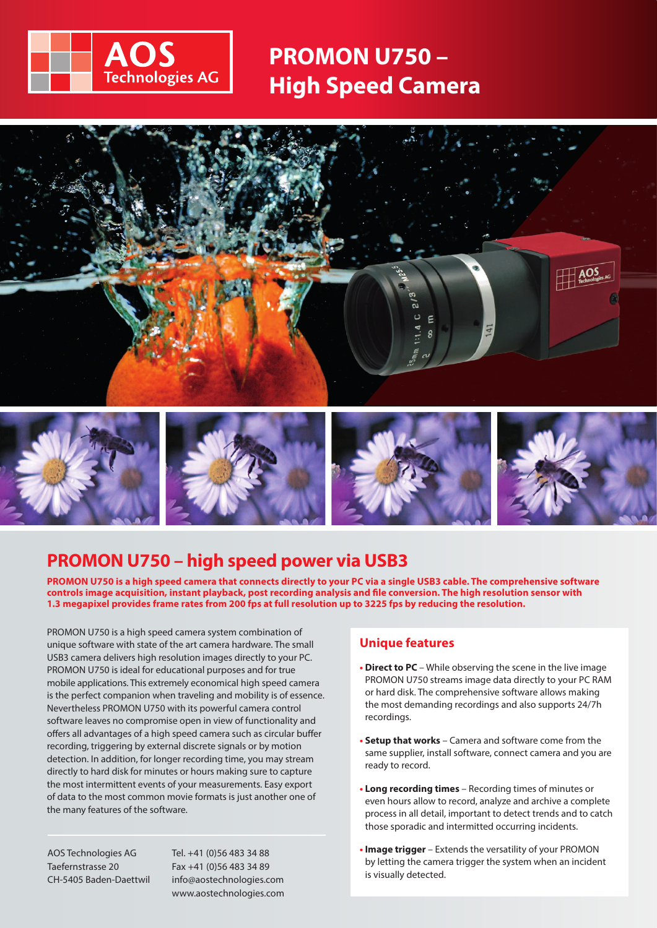

# **PROMON U750 – High Speed Camera**



# **PROMON U750 – high speed power via USB3**

**PROMON U750 is a high speed camera that connects directly to your PC via a single USB3 cable. The comprehensive software controls image acquisition, instant playback, post recording analysis and file conversion. The high resolution sensor with 1.3 megapixel provides frame rates from 200 fps at full resolution up to 3225 fps by reducing the resolution.**

PROMON U750 is a high speed camera system combination of unique software with state of the art camera hardware. The small USB3 camera delivers high resolution images directly to your PC. PROMON U750 is ideal for educational purposes and for true mobile applications. This extremely economical high speed camera is the perfect companion when traveling and mobility is of essence. Nevertheless PROMON U750 with its powerful camera control software leaves no compromise open in view of functionality and offers all advantages of a high speed camera such as circular buffer recording, triggering by external discrete signals or by motion detection. In addition, for longer recording time, you may stream directly to hard disk for minutes or hours making sure to capture the most intermittent events of your measurements. Easy export of data to the most common movie formats is just another one of the many features of the software.

AOS Technologies AG Taefernstrasse 20 CH-5405 Baden-Daettwil Tel. +41 (0)56 483 34 88 Fax +41 (0)56 483 34 89 info@aostechnologies.com www.aostechnologies.com

### **Unique features**

- **• Direct to PC**  While observing the scene in the live image PROMON U750 streams image data directly to your PC RAM or hard disk. The comprehensive software allows making the most demanding recordings and also supports 24/7h recordings.
- **• Setup that works** Camera and software come from the same supplier, install software, connect camera and you are ready to record.
- **• Long recording times** Recording times of minutes or even hours allow to record, analyze and archive a complete process in all detail, important to detect trends and to catch those sporadic and intermitted occurring incidents.
- **• Image trigger**  Extends the versatility of your PROMON by letting the camera trigger the system when an incident is visually detected.